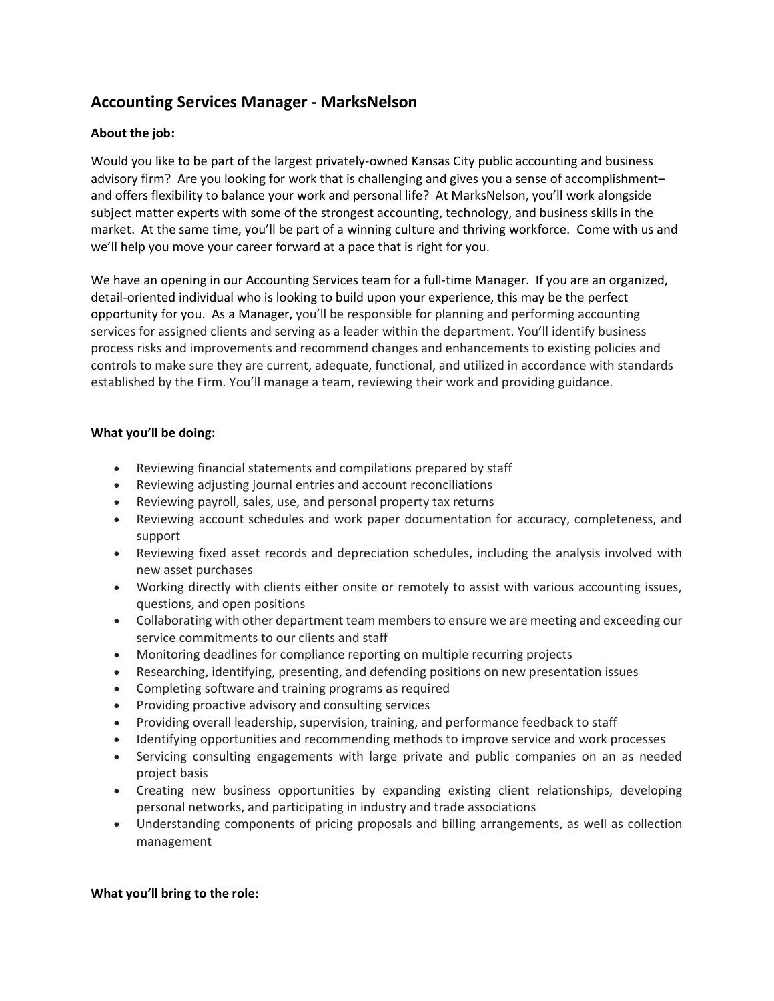# **Accounting Services Manager - MarksNelson**

## **About the job:**

Would you like to be part of the largest privately-owned Kansas City public accounting and business advisory firm? Are you looking for work that is challenging and gives you a sense of accomplishment– and offers flexibility to balance your work and personal life? At MarksNelson, you'll work alongside subject matter experts with some of the strongest accounting, technology, and business skills in the market. At the same time, you'll be part of a winning culture and thriving workforce. Come with us and we'll help you move your career forward at a pace that is right for you.

We have an opening in our Accounting Services team for a full-time Manager. If you are an organized, detail-oriented individual who is looking to build upon your experience, this may be the perfect opportunity for you. As a Manager, you'll be responsible for planning and performing accounting services for assigned clients and serving as a leader within the department. You'll identify business process risks and improvements and recommend changes and enhancements to existing policies and controls to make sure they are current, adequate, functional, and utilized in accordance with standards established by the Firm. You'll manage a team, reviewing their work and providing guidance.

### **What you'll be doing:**

- Reviewing financial statements and compilations prepared by staff
- Reviewing adjusting journal entries and account reconciliations
- Reviewing payroll, sales, use, and personal property tax returns
- Reviewing account schedules and work paper documentation for accuracy, completeness, and support
- Reviewing fixed asset records and depreciation schedules, including the analysis involved with new asset purchases
- Working directly with clients either onsite or remotely to assist with various accounting issues, questions, and open positions
- Collaborating with other department team members to ensure we are meeting and exceeding our service commitments to our clients and staff
- Monitoring deadlines for compliance reporting on multiple recurring projects
- Researching, identifying, presenting, and defending positions on new presentation issues
- Completing software and training programs as required
- Providing proactive advisory and consulting services
- Providing overall leadership, supervision, training, and performance feedback to staff
- Identifying opportunities and recommending methods to improve service and work processes
- Servicing consulting engagements with large private and public companies on an as needed project basis
- Creating new business opportunities by expanding existing client relationships, developing personal networks, and participating in industry and trade associations
- Understanding components of pricing proposals and billing arrangements, as well as collection management

#### **What you'll bring to the role:**